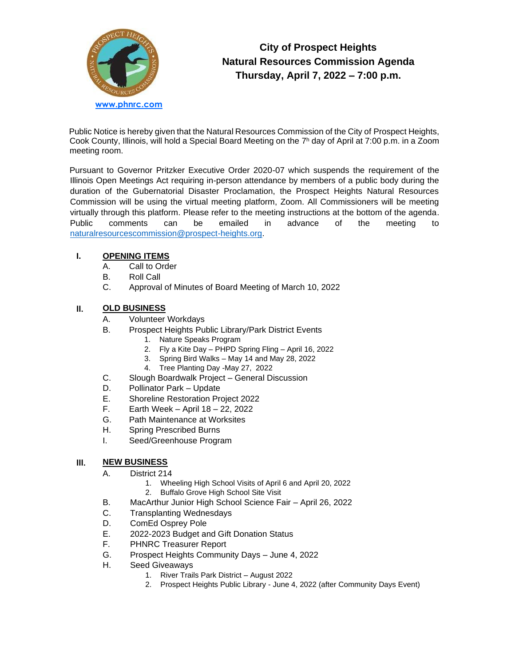

# **City of Prospect Heights Natural Resources Commission Agenda Thursday, April 7, 2022 – 7:00 p.m.**

Public Notice is hereby given that the Natural Resources Commission of the City of Prospect Heights, Cook County, Illinois, will hold a Special Board Meeting on the 7<sup>h</sup> day of April at 7:00 p.m. in a Zoom meeting room.

Pursuant to Governor Pritzker Executive Order 2020-07 which suspends the requirement of the Illinois Open Meetings Act requiring in-person attendance by members of a public body during the duration of the Gubernatorial Disaster Proclamation, the Prospect Heights Natural Resources Commission will be using the virtual meeting platform, Zoom. All Commissioners will be meeting virtually through this platform. Please refer to the meeting instructions at the bottom of the agenda. Public comments can be emailed in advance of the meeting to [naturalresourcescommission@prospect-heights.org.](mailto:naturalresourcescommission@prospect-heights.org)

#### **I. OPENING ITEMS**

- A. Call to Order
- B. Roll Call
- C. Approval of Minutes of Board Meeting of March 10, 2022

## **II. OLD BUSINESS**

- A. Volunteer Workdays
- B. Prospect Heights Public Library/Park District Events
	- 1. Nature Speaks Program
	- 2. Fly a Kite Day PHPD Spring Fling April 16, 2022
	- 3. Spring Bird Walks May 14 and May 28, 2022
	- 4. Tree Planting Day -May 27, 2022
- C. Slough Boardwalk Project – General Discussion
- D. Pollinator Park – Update
- E. Shoreline Restoration Project 2022
- F. Earth Week – April 18 – 22, 2022
- G. Path Maintenance at Worksites
- H. Spring Prescribed Burns
- I. Seed/Greenhouse Program

#### **III. NEW BUSINESS**

- A. District 214
	- 1. Wheeling High School Visits of April 6 and April 20, 2022
	- 2. Buffalo Grove High School Site Visit
- B. MacArthur Junior High School Science Fair – April 26, 2022
- C. Transplanting Wednesdays
- D. ComEd Osprey Pole
- E. 2022-2023 Budget and Gift Donation Status
- F. PHNRC Treasurer Report
- G. Prospect Heights Community Days – June 4, 2022
- H. Seed Giveaways
	- 1. River Trails Park District August 2022
	- 2. Prospect Heights Public Library June 4, 2022 (after Community Days Event)